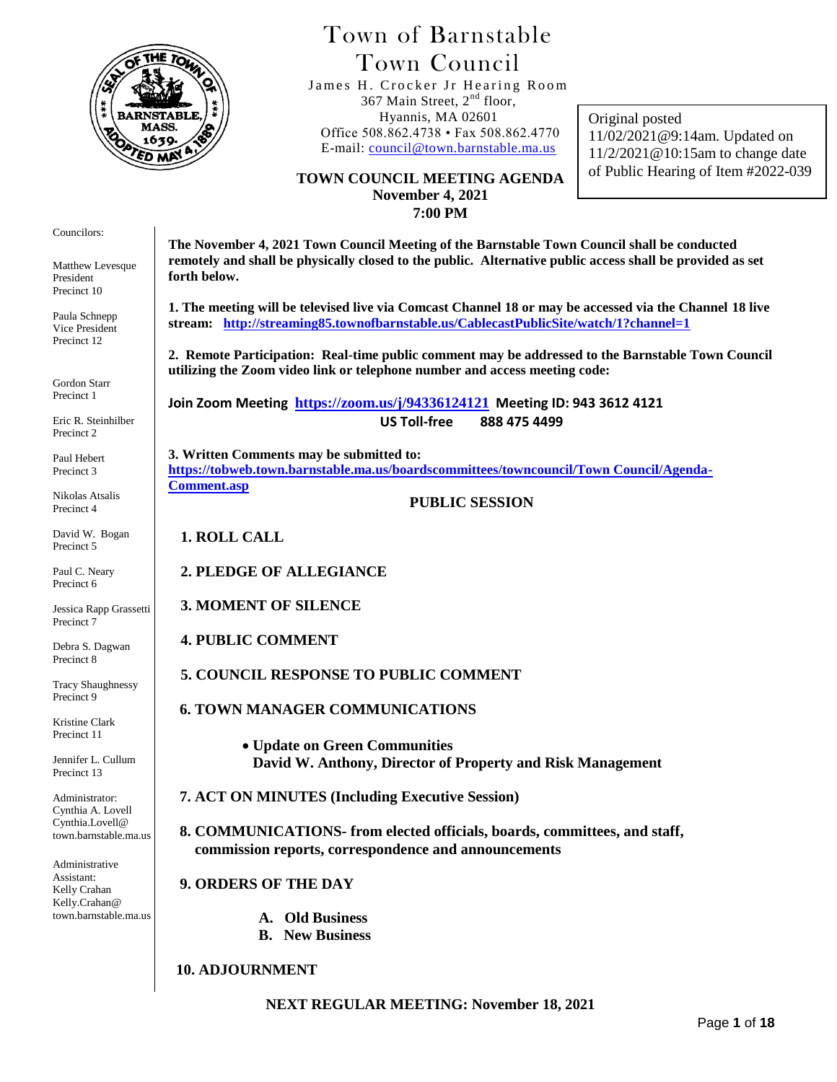

# Town of Barnstable Town Council

 James H. Crocker Jr Hearing Room 367 Main Street, 2<sup>nd</sup> floor, Hyannis, MA 02601 Office 508.862.4738 • Fax 508.862.4770 E-mail: [council@town.barnstable.ma.us](mailto:council@town.barnstable.ma.us)

Original posted 11/02/2021@9:14am. Updated on 11/2/2021@10:15am to change date of Public Hearing of Item #2022-039

#### **TOWN COUNCIL MEETING AGENDA November 4, 2021 7:00 PM**

Councilors:

Matthew Levesque President Precinct 10

Paula Schnepp Vice President Precinct 12

Gordon Starr Precinct 1

Eric R. Steinhilber Precinct 2

Paul Hebert Precinct 3

Nikolas Atsalis Precinct 4

David W. Bogan Precinct 5

Paul C. Neary Precinct 6

Jessica Rapp Grassetti Precinct 7

Debra S. Dagwan Precinct 8

Tracy Shaughnessy Precinct 9

Kristine Clark Precinct 11

Jennifer L. Cullum Precinct 13

Administrator: Cynthia A. Lovell Cynthia.Lovell@ town.barnstable.ma.us

Administrative Assistant: Kelly Crahan Kelly.Crahan@ town.barnstable.ma.us

**The November 4, 2021 Town Council Meeting of the Barnstable Town Council shall be conducted remotely and shall be physically closed to the public. Alternative public access shall be provided as set forth below.** 

**1. The meeting will be televised live via Comcast Channel 18 or may be accessed via the Channel 18 live stream: <http://streaming85.townofbarnstable.us/CablecastPublicSite/watch/1?channel=1>**

**2. Remote Participation: Real-time public comment may be addressed to the Barnstable Town Council utilizing the Zoom video link or telephone number and access meeting code:**

**Join Zoom Meeting <https://zoom.us/j/94336124121> Meeting ID: 943 3612 4121 US Toll-free 888 475 4499**

**3. Written Comments may be submitted to: [https://tobweb.town.barnstable.ma.us/boardscommittees/towncouncil/Town Council/Agenda-](https://tobweb.town.barnstable.ma.us/boardscommittees/towncouncil/Town%20Council/Agenda-Comment.asp)[Comment.asp](https://tobweb.town.barnstable.ma.us/boardscommittees/towncouncil/Town%20Council/Agenda-Comment.asp)**

#### **PUBLIC SESSION**

**1. ROLL CALL**

**2. PLEDGE OF ALLEGIANCE**

**3. MOMENT OF SILENCE**

**4. PUBLIC COMMENT**

**5. COUNCIL RESPONSE TO PUBLIC COMMENT**

 **6. TOWN MANAGER COMMUNICATIONS**

 **Update on Green Communities David W. Anthony, Director of Property and Risk Management**

 **7. ACT ON MINUTES (Including Executive Session)**

 **8. COMMUNICATIONS- from elected officials, boards, committees, and staff, commission reports, correspondence and announcements**

 **9. ORDERS OF THE DAY**

 **A. Old Business**

 **B. New Business**

#### **10. ADJOURNMENT**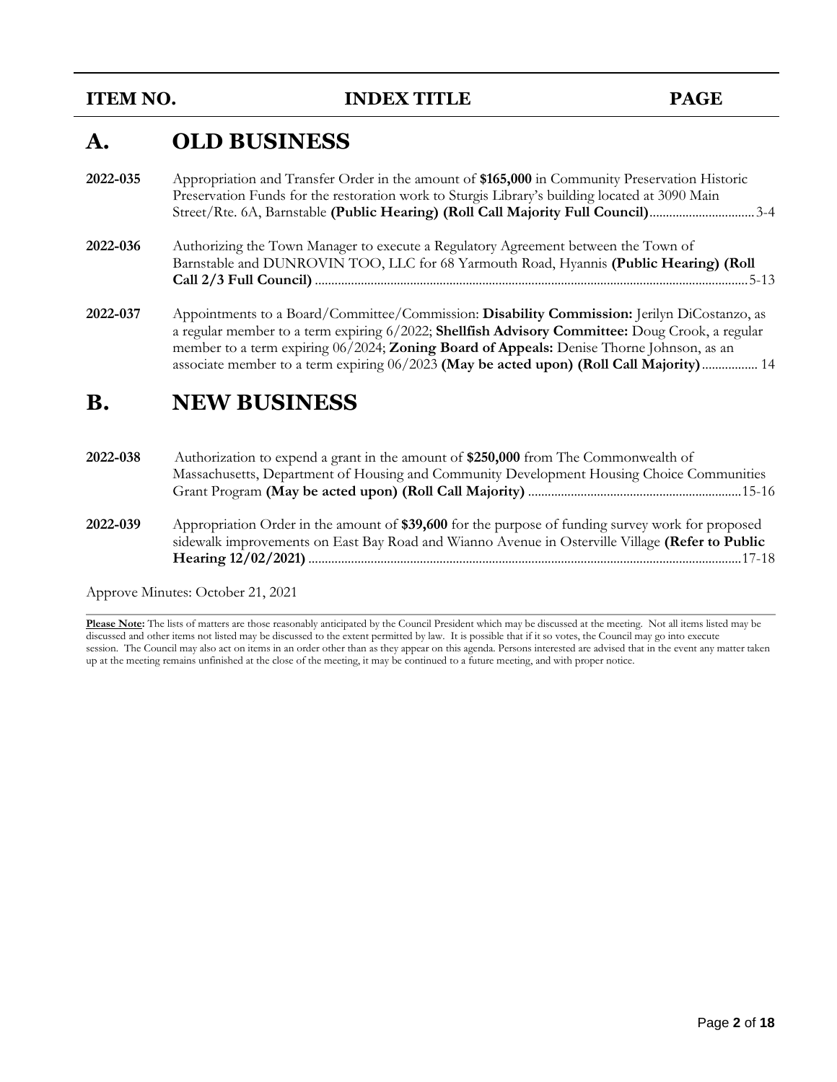**ITEM NO. INDEX TITLE PAGE** 

# **A. OLD BUSINESS**

- **2022-035** Appropriation and Transfer Order in the amount of **\$165,000** in Community Preservation Historic Preservation Funds for the restoration work to Sturgis Library's building located at 3090 Main Street/Rte. 6A, Barnstable **(Public Hearing) (Roll Call Majority Full Council)**................................3-4
- **2022-036** Authorizing the Town Manager to execute a Regulatory Agreement between the Town of Barnstable and DUNROVIN TOO, LLC for 68 Yarmouth Road, Hyannis **(Public Hearing) (Roll Call 2/3 Full Council)** ....................................................................................................................................5-13
- **2022-037** Appointments to a Board/Committee/Commission: **Disability Commission:** Jerilyn DiCostanzo, as a regular member to a term expiring 6/2022; **Shellfish Advisory Committee:** Doug Crook, a regular member to a term expiring 06/2024; **Zoning Board of Appeals:** Denise Thorne Johnson, as an associate member to a term expiring 06/2023 **(May be acted upon) (Roll Call Majority)**................. 14

# **B. NEW BUSINESS**

- **2022-038** Authorization to expend a grant in the amount of **\$250,000** from The Commonwealth of Massachusetts, Department of Housing and Community Development Housing Choice Communities Grant Program **(May be acted upon) (Roll Call Majority)** .................................................................15-16
- **2022-039** Appropriation Order in the amount of **\$39,600** for the purpose of funding survey work for proposed sidewalk improvements on East Bay Road and Wianno Avenue in Osterville Village **(Refer to Public Hearing 12/02/2021)**....................................................................................................................................17-18

Approve Minutes: October 21, 2021

**Please Note:** The lists of matters are those reasonably anticipated by the Council President which may be discussed at the meeting. Not all items listed may be discussed and other items not listed may be discussed to the extent permitted by law. It is possible that if it so votes, the Council may go into execute session. The Council may also act on items in an order other than as they appear on this agenda. Persons interested are advised that in the event any matter taken up at the meeting remains unfinished at the close of the meeting, it may be continued to a future meeting, and with proper notice.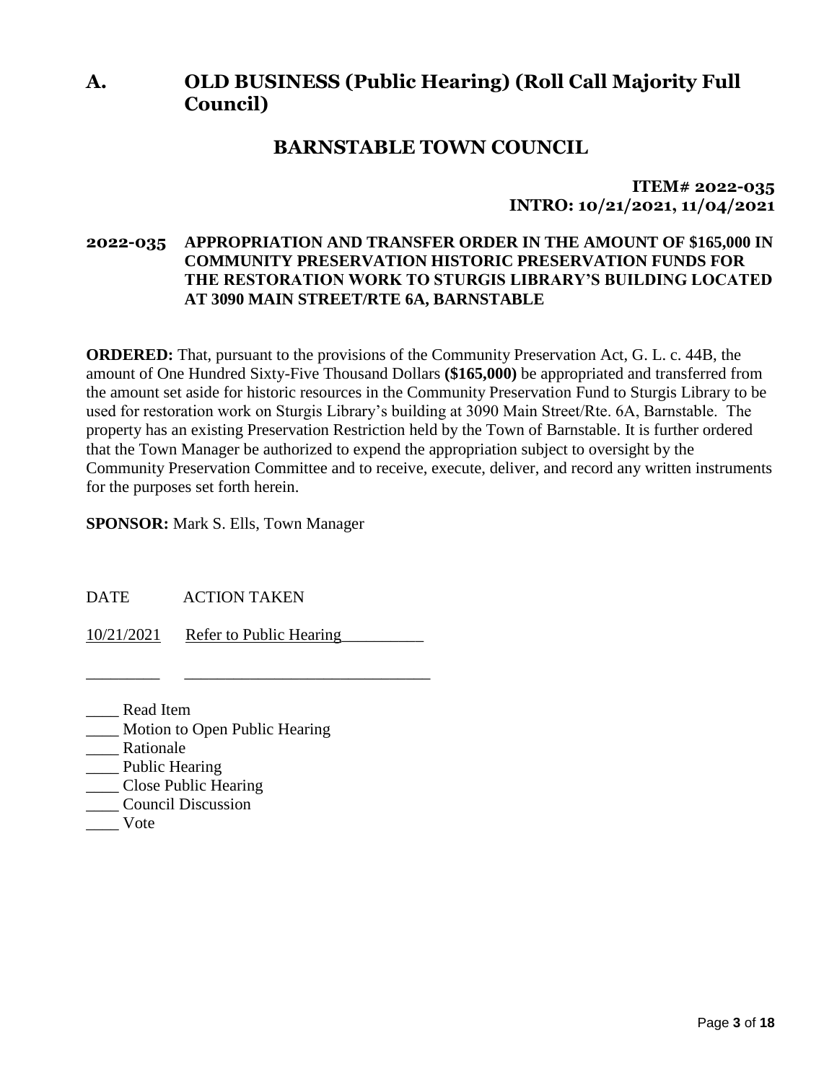# **A. OLD BUSINESS (Public Hearing) (Roll Call Majority Full Council)**

# **BARNSTABLE TOWN COUNCIL**

**ITEM# 2022-035 INTRO: 10/21/2021, 11/04/2021**

## **2022-035 APPROPRIATION AND TRANSFER ORDER IN THE AMOUNT OF \$165,000 IN COMMUNITY PRESERVATION HISTORIC PRESERVATION FUNDS FOR THE RESTORATION WORK TO STURGIS LIBRARY'S BUILDING LOCATED AT 3090 MAIN STREET/RTE 6A, BARNSTABLE**

**ORDERED:** That, pursuant to the provisions of the Community Preservation Act, G. L. c. 44B, the amount of One Hundred Sixty-Five Thousand Dollars **(\$165,000)** be appropriated and transferred from the amount set aside for historic resources in the Community Preservation Fund to Sturgis Library to be used for restoration work on Sturgis Library's building at 3090 Main Street/Rte. 6A, Barnstable. The property has an existing Preservation Restriction held by the Town of Barnstable. It is further ordered that the Town Manager be authorized to expend the appropriation subject to oversight by the Community Preservation Committee and to receive, execute, deliver, and record any written instruments for the purposes set forth herein.

**SPONSOR:** Mark S. Ells, Town Manager

DATE ACTION TAKEN

10/21/2021 Refer to Public Hearing

\_\_\_\_\_\_\_\_\_ \_\_\_\_\_\_\_\_\_\_\_\_\_\_\_\_\_\_\_\_\_\_\_\_\_\_\_\_\_\_

\_\_\_\_ Read Item

- \_\_\_\_ Motion to Open Public Hearing
- \_\_\_\_ Rationale
- \_\_\_\_ Public Hearing
- \_\_\_\_ Close Public Hearing
- \_\_\_\_ Council Discussion
- \_\_\_\_ Vote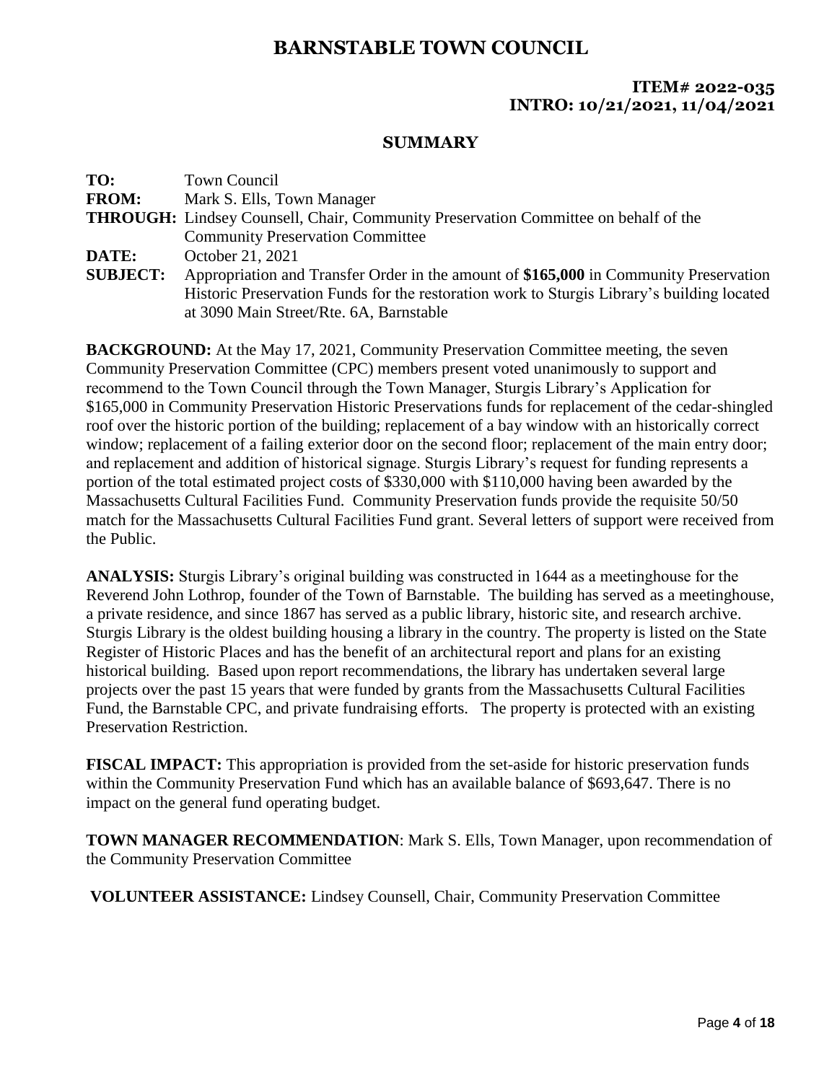## **ITEM# 2022-035 INTRO: 10/21/2021, 11/04/2021**

## **SUMMARY**

| TO:             | <b>Town Council</b>                                                                        |
|-----------------|--------------------------------------------------------------------------------------------|
| <b>FROM:</b>    | Mark S. Ells, Town Manager                                                                 |
|                 | <b>THROUGH:</b> Lindsey Counsell, Chair, Community Preservation Committee on behalf of the |
|                 | <b>Community Preservation Committee</b>                                                    |
| DATE:           | October 21, 2021                                                                           |
| <b>SUBJECT:</b> | Appropriation and Transfer Order in the amount of \$165,000 in Community Preservation      |
|                 | Historic Preservation Funds for the restoration work to Sturgis Library's building located |
|                 | at 3090 Main Street/Rte. 6A, Barnstable                                                    |

**BACKGROUND:** At the May 17, 2021, Community Preservation Committee meeting, the seven Community Preservation Committee (CPC) members present voted unanimously to support and recommend to the Town Council through the Town Manager, Sturgis Library's Application for \$165,000 in Community Preservation Historic Preservations funds for replacement of the cedar-shingled roof over the historic portion of the building; replacement of a bay window with an historically correct window; replacement of a failing exterior door on the second floor; replacement of the main entry door; and replacement and addition of historical signage. Sturgis Library's request for funding represents a portion of the total estimated project costs of \$330,000 with \$110,000 having been awarded by the Massachusetts Cultural Facilities Fund. Community Preservation funds provide the requisite 50/50 match for the Massachusetts Cultural Facilities Fund grant. Several letters of support were received from the Public.

**ANALYSIS:** Sturgis Library's original building was constructed in 1644 as a meetinghouse for the Reverend John Lothrop, founder of the Town of Barnstable. The building has served as a meetinghouse, a private residence, and since 1867 has served as a public library, historic site, and research archive. Sturgis Library is the oldest building housing a library in the country. The property is listed on the State Register of Historic Places and has the benefit of an architectural report and plans for an existing historical building. Based upon report recommendations, the library has undertaken several large projects over the past 15 years that were funded by grants from the Massachusetts Cultural Facilities Fund, the Barnstable CPC, and private fundraising efforts. The property is protected with an existing Preservation Restriction.

**FISCAL IMPACT:** This appropriation is provided from the set-aside for historic preservation funds within the Community Preservation Fund which has an available balance of \$693,647. There is no impact on the general fund operating budget.

**TOWN MANAGER RECOMMENDATION**: Mark S. Ells, Town Manager, upon recommendation of the Community Preservation Committee

**VOLUNTEER ASSISTANCE:** Lindsey Counsell, Chair, Community Preservation Committee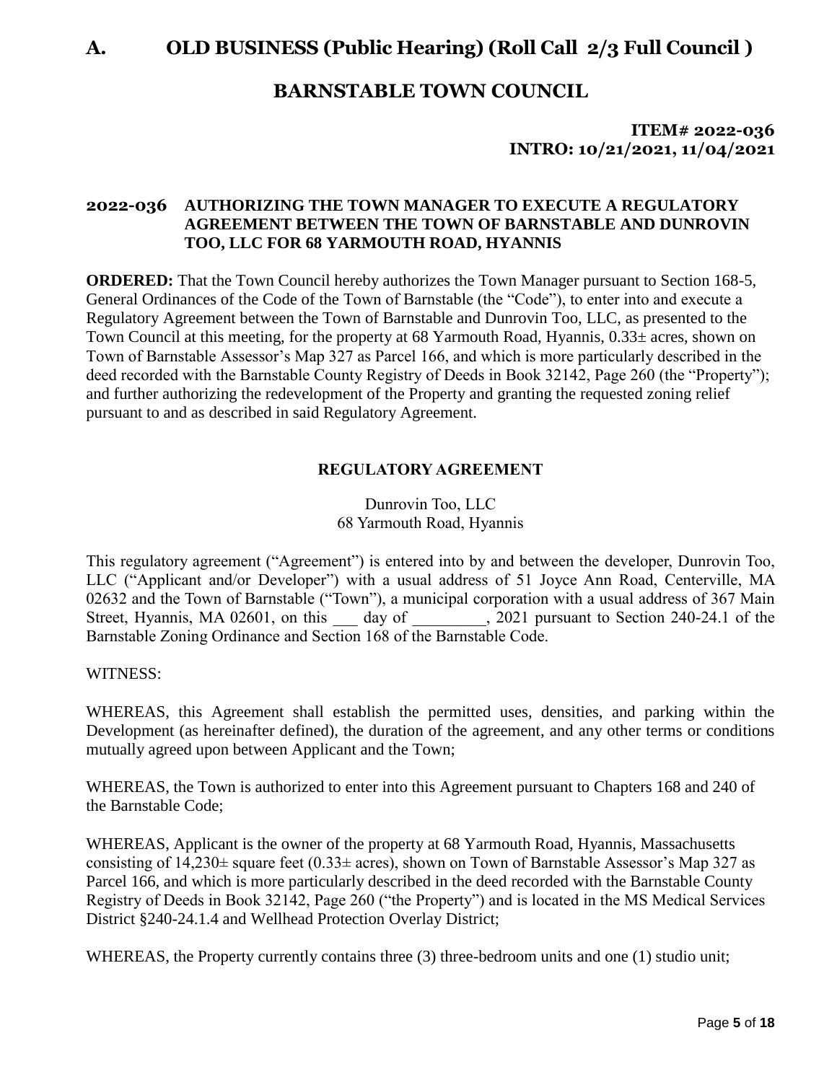## **ITEM# 2022-036 INTRO: 10/21/2021, 11/04/2021**

## **2022-036 AUTHORIZING THE TOWN MANAGER TO EXECUTE A REGULATORY AGREEMENT BETWEEN THE TOWN OF BARNSTABLE AND DUNROVIN TOO, LLC FOR 68 YARMOUTH ROAD, HYANNIS**

**ORDERED:** That the Town Council hereby authorizes the Town Manager pursuant to Section 168-5, General Ordinances of the Code of the Town of Barnstable (the "Code"), to enter into and execute a Regulatory Agreement between the Town of Barnstable and Dunrovin Too, LLC, as presented to the Town Council at this meeting, for the property at 68 Yarmouth Road, Hyannis,  $0.33\pm$  acres, shown on Town of Barnstable Assessor's Map 327 as Parcel 166, and which is more particularly described in the deed recorded with the Barnstable County Registry of Deeds in Book 32142, Page 260 (the "Property"); and further authorizing the redevelopment of the Property and granting the requested zoning relief pursuant to and as described in said Regulatory Agreement.

## **REGULATORY AGREEMENT**

Dunrovin Too, LLC 68 Yarmouth Road, Hyannis

This regulatory agreement ("Agreement") is entered into by and between the developer, Dunrovin Too, LLC ("Applicant and/or Developer") with a usual address of 51 Joyce Ann Road, Centerville, MA 02632 and the Town of Barnstable ("Town"), a municipal corporation with a usual address of 367 Main Street, Hyannis, MA 02601, on this day of 2021 pursuant to Section 240-24.1 of the Barnstable Zoning Ordinance and Section 168 of the Barnstable Code.

WITNESS:

WHEREAS, this Agreement shall establish the permitted uses, densities, and parking within the Development (as hereinafter defined), the duration of the agreement, and any other terms or conditions mutually agreed upon between Applicant and the Town;

WHEREAS, the Town is authorized to enter into this Agreement pursuant to Chapters 168 and 240 of the Barnstable Code;

WHEREAS, Applicant is the owner of the property at 68 Yarmouth Road, Hyannis, Massachusetts consisting of  $14,230\pm$  square feet (0.33 $\pm$  acres), shown on Town of Barnstable Assessor's Map 327 as Parcel 166, and which is more particularly described in the deed recorded with the Barnstable County Registry of Deeds in Book 32142, Page 260 ("the Property") and is located in the MS Medical Services District §240-24.1.4 and Wellhead Protection Overlay District;

WHEREAS, the Property currently contains three (3) three-bedroom units and one (1) studio unit;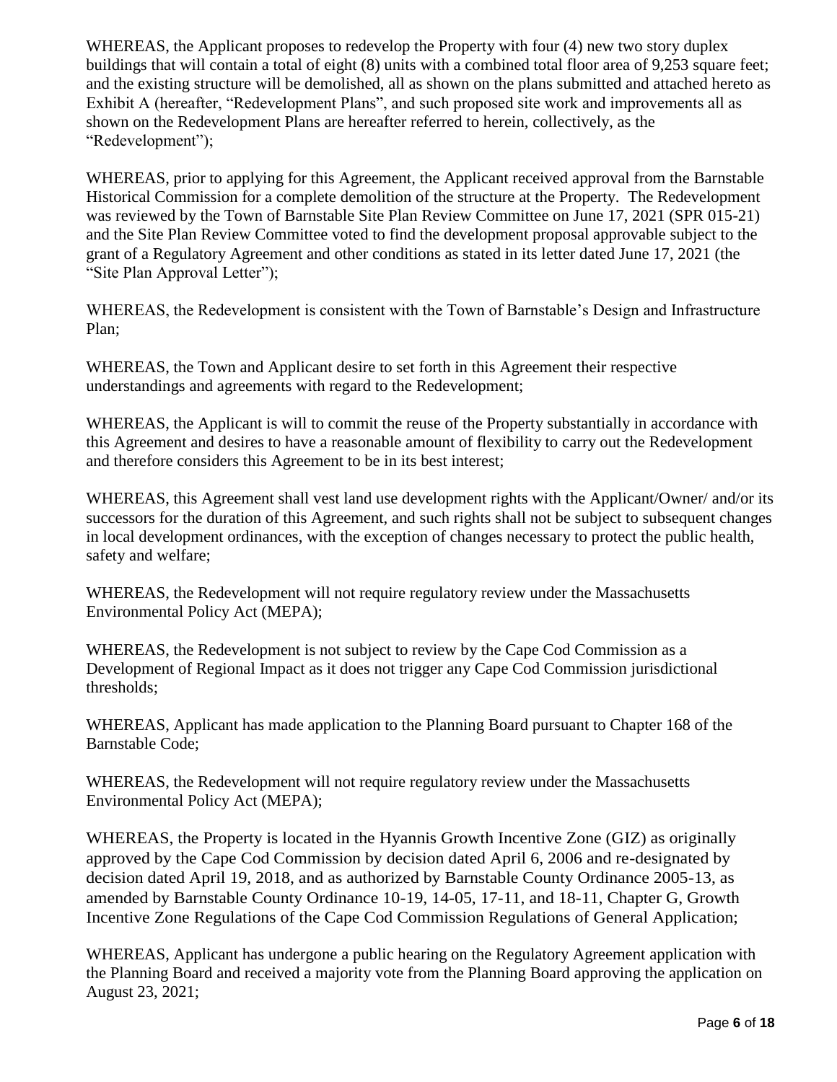WHEREAS, the Applicant proposes to redevelop the Property with four (4) new two story duplex buildings that will contain a total of eight (8) units with a combined total floor area of 9,253 square feet; and the existing structure will be demolished, all as shown on the plans submitted and attached hereto as Exhibit A (hereafter, "Redevelopment Plans", and such proposed site work and improvements all as shown on the Redevelopment Plans are hereafter referred to herein, collectively, as the "Redevelopment");

WHEREAS, prior to applying for this Agreement, the Applicant received approval from the Barnstable Historical Commission for a complete demolition of the structure at the Property. The Redevelopment was reviewed by the Town of Barnstable Site Plan Review Committee on June 17, 2021 (SPR 015-21) and the Site Plan Review Committee voted to find the development proposal approvable subject to the grant of a Regulatory Agreement and other conditions as stated in its letter dated June 17, 2021 (the "Site Plan Approval Letter");

WHEREAS, the Redevelopment is consistent with the Town of Barnstable's Design and Infrastructure Plan;

WHEREAS, the Town and Applicant desire to set forth in this Agreement their respective understandings and agreements with regard to the Redevelopment;

WHEREAS, the Applicant is will to commit the reuse of the Property substantially in accordance with this Agreement and desires to have a reasonable amount of flexibility to carry out the Redevelopment and therefore considers this Agreement to be in its best interest;

WHEREAS, this Agreement shall vest land use development rights with the Applicant/Owner/ and/or its successors for the duration of this Agreement, and such rights shall not be subject to subsequent changes in local development ordinances, with the exception of changes necessary to protect the public health, safety and welfare;

WHEREAS, the Redevelopment will not require regulatory review under the Massachusetts Environmental Policy Act (MEPA);

WHEREAS, the Redevelopment is not subject to review by the Cape Cod Commission as a Development of Regional Impact as it does not trigger any Cape Cod Commission jurisdictional thresholds;

WHEREAS, Applicant has made application to the Planning Board pursuant to Chapter 168 of the Barnstable Code;

WHEREAS, the Redevelopment will not require regulatory review under the Massachusetts Environmental Policy Act (MEPA);

WHEREAS, the Property is located in the Hyannis Growth Incentive Zone (GIZ) as originally approved by the Cape Cod Commission by decision dated April 6, 2006 and re-designated by decision dated April 19, 2018, and as authorized by Barnstable County Ordinance 2005-13, as amended by Barnstable County Ordinance 10-19, 14-05, 17-11, and 18-11, Chapter G, Growth Incentive Zone Regulations of the Cape Cod Commission Regulations of General Application;

WHEREAS, Applicant has undergone a public hearing on the Regulatory Agreement application with the Planning Board and received a majority vote from the Planning Board approving the application on August 23, 2021;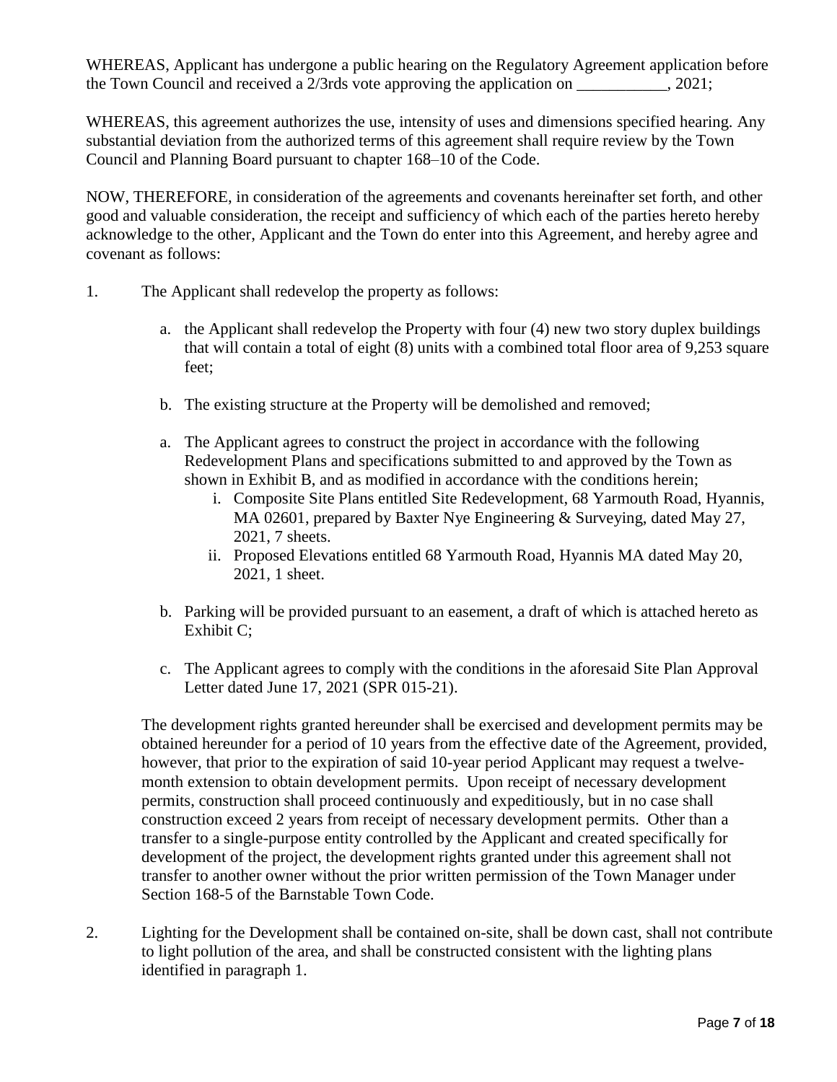WHEREAS, Applicant has undergone a public hearing on the Regulatory Agreement application before the Town Council and received a  $2/3$ rds vote approving the application on  $\qquad \qquad$ , 2021;

WHEREAS, this agreement authorizes the use, intensity of uses and dimensions specified hearing. Any substantial deviation from the authorized terms of this agreement shall require review by the Town Council and Planning Board pursuant to chapter 168–10 of the Code.

NOW, THEREFORE, in consideration of the agreements and covenants hereinafter set forth, and other good and valuable consideration, the receipt and sufficiency of which each of the parties hereto hereby acknowledge to the other, Applicant and the Town do enter into this Agreement, and hereby agree and covenant as follows:

- 1. The Applicant shall redevelop the property as follows:
	- a. the Applicant shall redevelop the Property with four (4) new two story duplex buildings that will contain a total of eight (8) units with a combined total floor area of 9,253 square feet;
	- b. The existing structure at the Property will be demolished and removed;
	- a. The Applicant agrees to construct the project in accordance with the following Redevelopment Plans and specifications submitted to and approved by the Town as shown in Exhibit B, and as modified in accordance with the conditions herein;
		- i. Composite Site Plans entitled Site Redevelopment, 68 Yarmouth Road, Hyannis, MA 02601, prepared by Baxter Nye Engineering & Surveying, dated May 27, 2021, 7 sheets.
		- ii. Proposed Elevations entitled 68 Yarmouth Road, Hyannis MA dated May 20, 2021, 1 sheet.
	- b. Parking will be provided pursuant to an easement, a draft of which is attached hereto as Exhibit C;
	- c. The Applicant agrees to comply with the conditions in the aforesaid Site Plan Approval Letter dated June 17, 2021 (SPR 015-21).

The development rights granted hereunder shall be exercised and development permits may be obtained hereunder for a period of 10 years from the effective date of the Agreement, provided, however, that prior to the expiration of said 10-year period Applicant may request a twelvemonth extension to obtain development permits. Upon receipt of necessary development permits, construction shall proceed continuously and expeditiously, but in no case shall construction exceed 2 years from receipt of necessary development permits. Other than a transfer to a single-purpose entity controlled by the Applicant and created specifically for development of the project, the development rights granted under this agreement shall not transfer to another owner without the prior written permission of the Town Manager under Section 168-5 of the Barnstable Town Code.

2. Lighting for the Development shall be contained on-site, shall be down cast, shall not contribute to light pollution of the area, and shall be constructed consistent with the lighting plans identified in paragraph 1.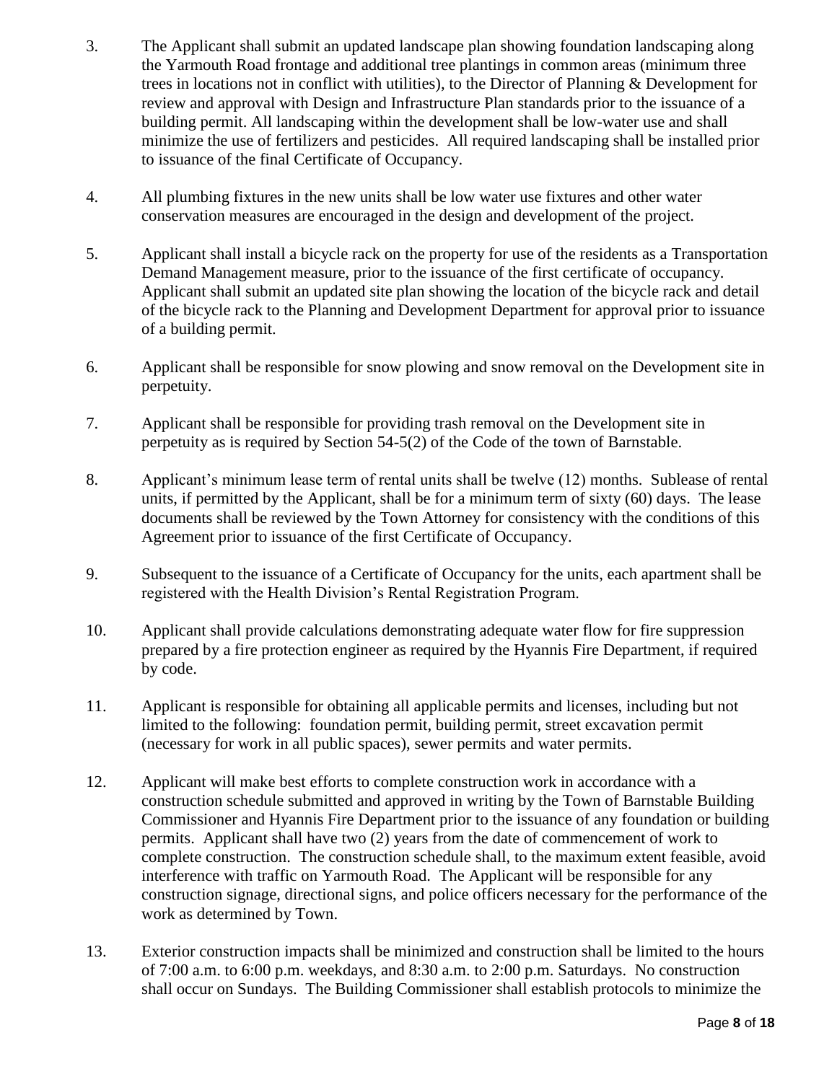- 3. The Applicant shall submit an updated landscape plan showing foundation landscaping along the Yarmouth Road frontage and additional tree plantings in common areas (minimum three trees in locations not in conflict with utilities), to the Director of Planning & Development for review and approval with Design and Infrastructure Plan standards prior to the issuance of a building permit. All landscaping within the development shall be low-water use and shall minimize the use of fertilizers and pesticides. All required landscaping shall be installed prior to issuance of the final Certificate of Occupancy.
- 4. All plumbing fixtures in the new units shall be low water use fixtures and other water conservation measures are encouraged in the design and development of the project.
- 5. Applicant shall install a bicycle rack on the property for use of the residents as a Transportation Demand Management measure, prior to the issuance of the first certificate of occupancy. Applicant shall submit an updated site plan showing the location of the bicycle rack and detail of the bicycle rack to the Planning and Development Department for approval prior to issuance of a building permit.
- 6. Applicant shall be responsible for snow plowing and snow removal on the Development site in perpetuity.
- 7. Applicant shall be responsible for providing trash removal on the Development site in perpetuity as is required by Section 54-5(2) of the Code of the town of Barnstable.
- 8. Applicant's minimum lease term of rental units shall be twelve (12) months. Sublease of rental units, if permitted by the Applicant, shall be for a minimum term of sixty (60) days. The lease documents shall be reviewed by the Town Attorney for consistency with the conditions of this Agreement prior to issuance of the first Certificate of Occupancy.
- 9. Subsequent to the issuance of a Certificate of Occupancy for the units, each apartment shall be registered with the Health Division's Rental Registration Program.
- 10. Applicant shall provide calculations demonstrating adequate water flow for fire suppression prepared by a fire protection engineer as required by the Hyannis Fire Department, if required by code.
- 11. Applicant is responsible for obtaining all applicable permits and licenses, including but not limited to the following: foundation permit, building permit, street excavation permit (necessary for work in all public spaces), sewer permits and water permits.
- 12. Applicant will make best efforts to complete construction work in accordance with a construction schedule submitted and approved in writing by the Town of Barnstable Building Commissioner and Hyannis Fire Department prior to the issuance of any foundation or building permits. Applicant shall have two (2) years from the date of commencement of work to complete construction. The construction schedule shall, to the maximum extent feasible, avoid interference with traffic on Yarmouth Road. The Applicant will be responsible for any construction signage, directional signs, and police officers necessary for the performance of the work as determined by Town.
- 13. Exterior construction impacts shall be minimized and construction shall be limited to the hours of 7:00 a.m. to 6:00 p.m. weekdays, and 8:30 a.m. to 2:00 p.m. Saturdays. No construction shall occur on Sundays. The Building Commissioner shall establish protocols to minimize the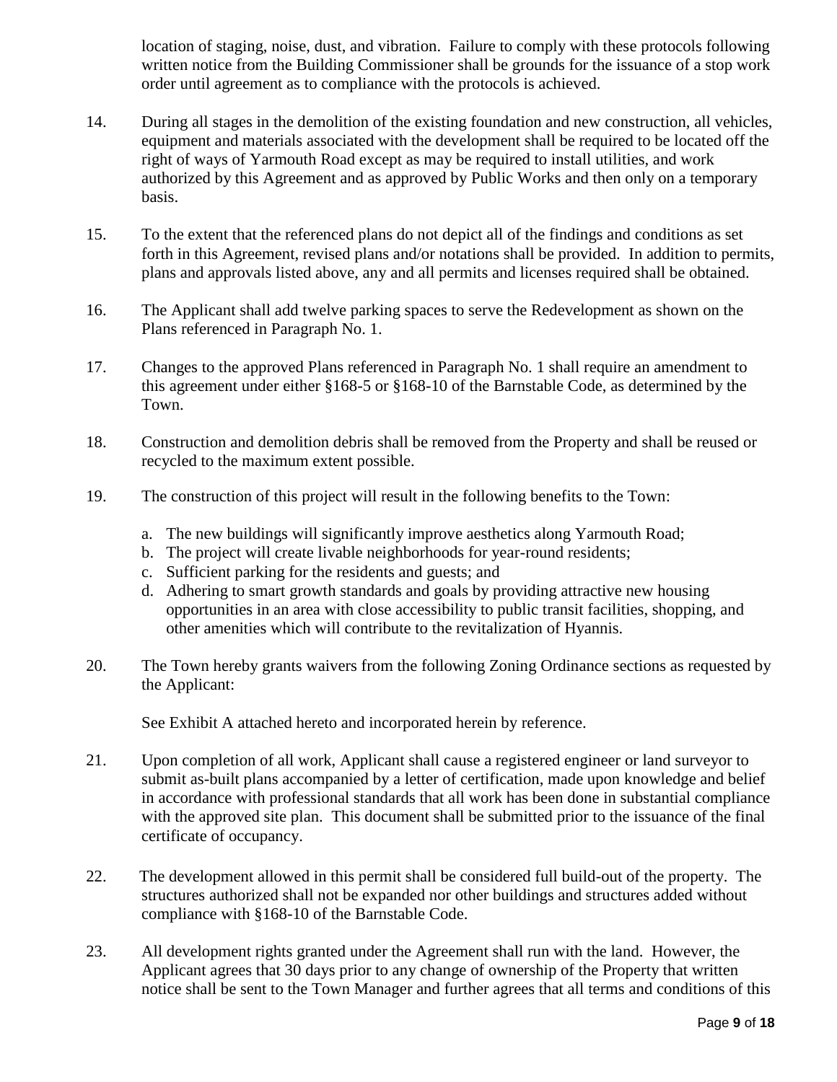location of staging, noise, dust, and vibration. Failure to comply with these protocols following written notice from the Building Commissioner shall be grounds for the issuance of a stop work order until agreement as to compliance with the protocols is achieved.

- 14. During all stages in the demolition of the existing foundation and new construction, all vehicles, equipment and materials associated with the development shall be required to be located off the right of ways of Yarmouth Road except as may be required to install utilities, and work authorized by this Agreement and as approved by Public Works and then only on a temporary basis.
- 15. To the extent that the referenced plans do not depict all of the findings and conditions as set forth in this Agreement, revised plans and/or notations shall be provided. In addition to permits, plans and approvals listed above, any and all permits and licenses required shall be obtained.
- 16. The Applicant shall add twelve parking spaces to serve the Redevelopment as shown on the Plans referenced in Paragraph No. 1.
- 17. Changes to the approved Plans referenced in Paragraph No. 1 shall require an amendment to this agreement under either §168-5 or §168-10 of the Barnstable Code, as determined by the Town.
- 18. Construction and demolition debris shall be removed from the Property and shall be reused or recycled to the maximum extent possible.
- 19. The construction of this project will result in the following benefits to the Town:
	- a. The new buildings will significantly improve aesthetics along Yarmouth Road;
	- b. The project will create livable neighborhoods for year-round residents;
	- c. Sufficient parking for the residents and guests; and
	- d. Adhering to smart growth standards and goals by providing attractive new housing opportunities in an area with close accessibility to public transit facilities, shopping, and other amenities which will contribute to the revitalization of Hyannis.
- 20. The Town hereby grants waivers from the following Zoning Ordinance sections as requested by the Applicant:

See Exhibit A attached hereto and incorporated herein by reference.

- 21. Upon completion of all work, Applicant shall cause a registered engineer or land surveyor to submit as-built plans accompanied by a letter of certification, made upon knowledge and belief in accordance with professional standards that all work has been done in substantial compliance with the approved site plan. This document shall be submitted prior to the issuance of the final certificate of occupancy.
- 22. The development allowed in this permit shall be considered full build-out of the property. The structures authorized shall not be expanded nor other buildings and structures added without compliance with §168-10 of the Barnstable Code.
- 23. All development rights granted under the Agreement shall run with the land. However, the Applicant agrees that 30 days prior to any change of ownership of the Property that written notice shall be sent to the Town Manager and further agrees that all terms and conditions of this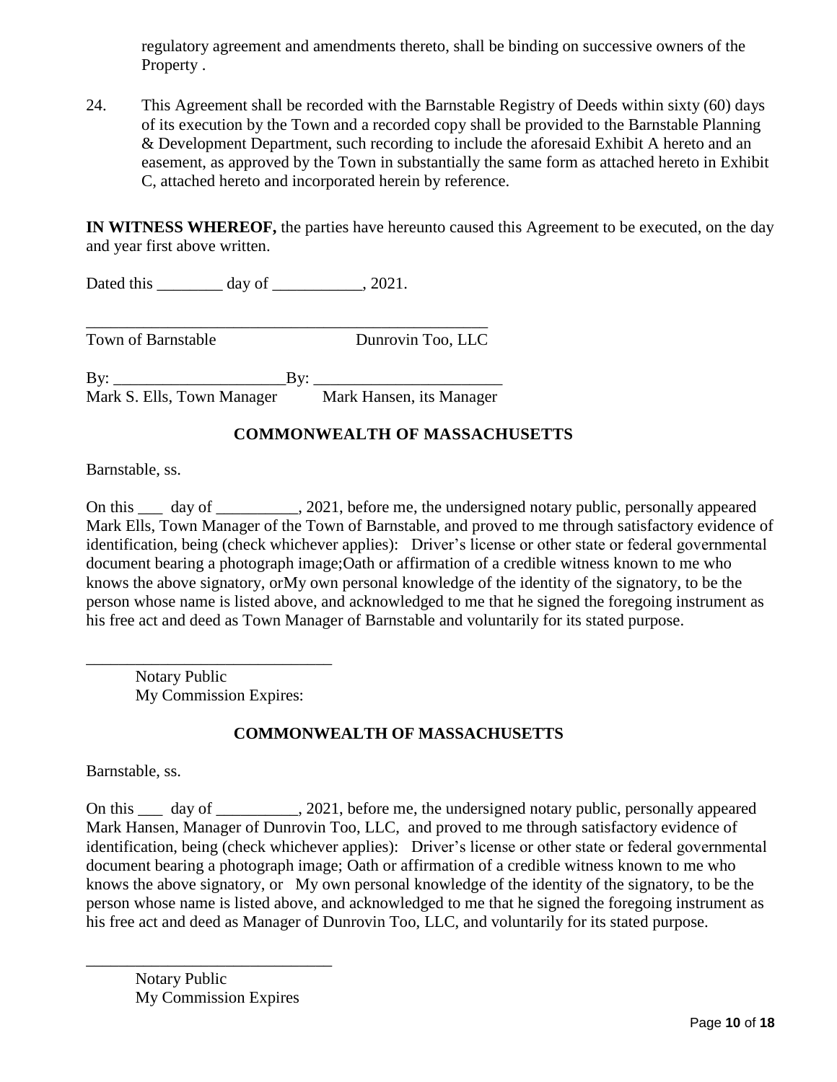regulatory agreement and amendments thereto, shall be binding on successive owners of the Property .

24. This Agreement shall be recorded with the Barnstable Registry of Deeds within sixty (60) days of its execution by the Town and a recorded copy shall be provided to the Barnstable Planning & Development Department, such recording to include the aforesaid Exhibit A hereto and an easement, as approved by the Town in substantially the same form as attached hereto in Exhibit C, attached hereto and incorporated herein by reference.

**IN WITNESS WHEREOF,** the parties have hereunto caused this Agreement to be executed, on the day and year first above written.

Dated this day of 2021.

Town of Barnstable **Dunrovin Too**, LLC

By: \_\_\_\_\_\_\_\_\_\_\_\_\_\_\_\_\_\_\_\_\_By: \_\_\_\_\_\_\_\_\_\_\_\_\_\_\_\_\_\_\_\_\_\_\_ Mark S. Ells, Town Manager Mark Hansen, its Manager

\_\_\_\_\_\_\_\_\_\_\_\_\_\_\_\_\_\_\_\_\_\_\_\_\_\_\_\_\_\_\_\_\_\_\_\_\_\_\_\_\_\_\_\_\_\_\_\_\_

## **COMMONWEALTH OF MASSACHUSETTS**

Barnstable, ss.

On this day of 3021, before me, the undersigned notary public, personally appeared Mark Ells, Town Manager of the Town of Barnstable, and proved to me through satisfactory evidence of identification, being (check whichever applies): Driver's license or other state or federal governmental document bearing a photograph image;Oath or affirmation of a credible witness known to me who knows the above signatory, orMy own personal knowledge of the identity of the signatory, to be the person whose name is listed above, and acknowledged to me that he signed the foregoing instrument as his free act and deed as Town Manager of Barnstable and voluntarily for its stated purpose.

Notary Public My Commission Expires:

\_\_\_\_\_\_\_\_\_\_\_\_\_\_\_\_\_\_\_\_\_\_\_\_\_\_\_\_\_\_

## **COMMONWEALTH OF MASSACHUSETTS**

Barnstable, ss.

On this \_\_\_ day of \_\_\_\_\_\_\_\_\_\_, 2021, before me, the undersigned notary public, personally appeared Mark Hansen, Manager of Dunrovin Too, LLC, and proved to me through satisfactory evidence of identification, being (check whichever applies): Driver's license or other state or federal governmental document bearing a photograph image; Oath or affirmation of a credible witness known to me who knows the above signatory, or My own personal knowledge of the identity of the signatory, to be the person whose name is listed above, and acknowledged to me that he signed the foregoing instrument as his free act and deed as Manager of Dunrovin Too, LLC, and voluntarily for its stated purpose.

Notary Public My Commission Expires

\_\_\_\_\_\_\_\_\_\_\_\_\_\_\_\_\_\_\_\_\_\_\_\_\_\_\_\_\_\_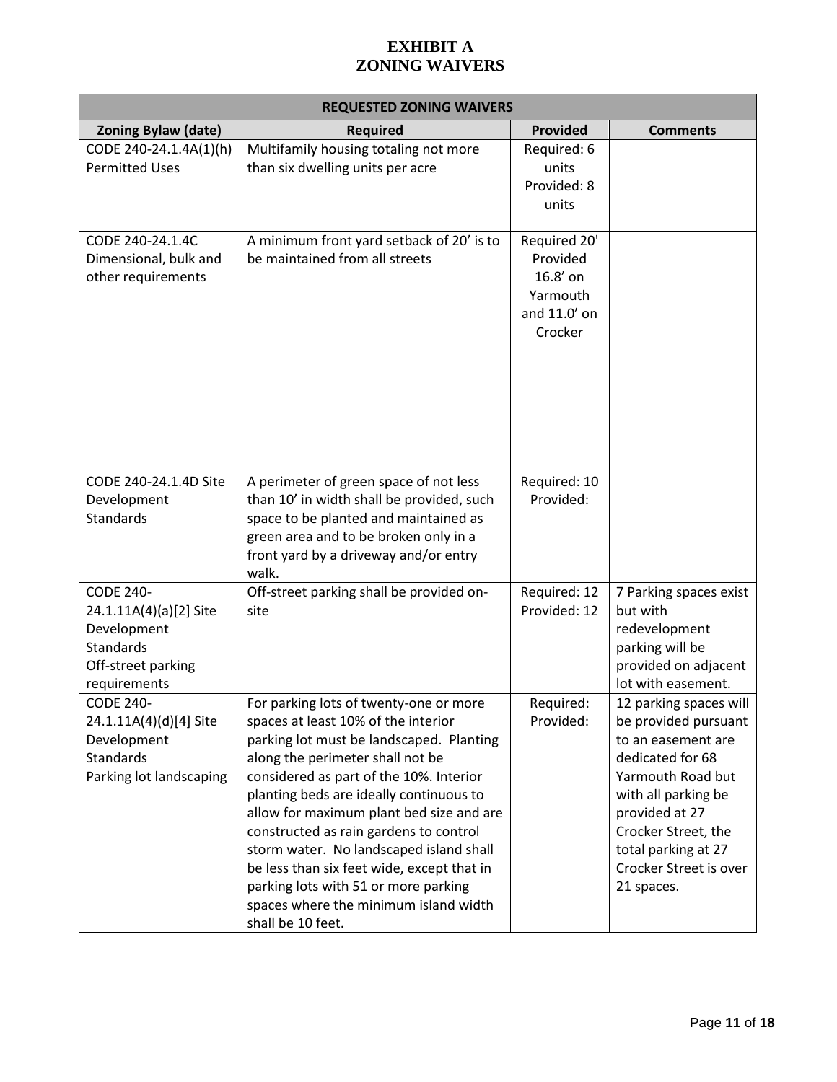# **EXHIBIT A ZONING WAIVERS**

| <b>REQUESTED ZONING WAIVERS</b>                                                                                     |                                                                                                                                                                                                                                                                                                                                                                                                                                                                                                                                          |                                                                             |                                                                                                                                                                                                                                              |  |  |
|---------------------------------------------------------------------------------------------------------------------|------------------------------------------------------------------------------------------------------------------------------------------------------------------------------------------------------------------------------------------------------------------------------------------------------------------------------------------------------------------------------------------------------------------------------------------------------------------------------------------------------------------------------------------|-----------------------------------------------------------------------------|----------------------------------------------------------------------------------------------------------------------------------------------------------------------------------------------------------------------------------------------|--|--|
| <b>Zoning Bylaw (date)</b>                                                                                          | <b>Required</b>                                                                                                                                                                                                                                                                                                                                                                                                                                                                                                                          | <b>Provided</b>                                                             | <b>Comments</b>                                                                                                                                                                                                                              |  |  |
| CODE 240-24.1.4A(1)(h)<br><b>Permitted Uses</b>                                                                     | Multifamily housing totaling not more<br>than six dwelling units per acre                                                                                                                                                                                                                                                                                                                                                                                                                                                                | Required: 6<br>units<br>Provided: 8<br>units                                |                                                                                                                                                                                                                                              |  |  |
| CODE 240-24.1.4C<br>Dimensional, bulk and<br>other requirements                                                     | A minimum front yard setback of 20' is to<br>be maintained from all streets                                                                                                                                                                                                                                                                                                                                                                                                                                                              | Required 20'<br>Provided<br>16.8' on<br>Yarmouth<br>and 11.0' on<br>Crocker |                                                                                                                                                                                                                                              |  |  |
| CODE 240-24.1.4D Site<br>Development<br>Standards                                                                   | A perimeter of green space of not less<br>than 10' in width shall be provided, such<br>space to be planted and maintained as<br>green area and to be broken only in a<br>front yard by a driveway and/or entry<br>walk.                                                                                                                                                                                                                                                                                                                  | Required: 10<br>Provided:                                                   |                                                                                                                                                                                                                                              |  |  |
| <b>CODE 240-</b><br>24.1.11A(4)(a)[2] Site<br>Development<br><b>Standards</b><br>Off-street parking<br>requirements | Off-street parking shall be provided on-<br>site                                                                                                                                                                                                                                                                                                                                                                                                                                                                                         | Required: 12<br>Provided: 12                                                | 7 Parking spaces exist<br>but with<br>redevelopment<br>parking will be<br>provided on adjacent<br>lot with easement.                                                                                                                         |  |  |
| <b>CODE 240-</b><br>24.1.11A(4)(d)[4] Site<br>Development<br>Standards<br>Parking lot landscaping                   | For parking lots of twenty-one or more<br>spaces at least 10% of the interior<br>parking lot must be landscaped. Planting<br>along the perimeter shall not be<br>considered as part of the 10%. Interior<br>planting beds are ideally continuous to<br>allow for maximum plant bed size and are<br>constructed as rain gardens to control<br>storm water. No landscaped island shall<br>be less than six feet wide, except that in<br>parking lots with 51 or more parking<br>spaces where the minimum island width<br>shall be 10 feet. | Required:<br>Provided:                                                      | 12 parking spaces will<br>be provided pursuant<br>to an easement are<br>dedicated for 68<br>Yarmouth Road but<br>with all parking be<br>provided at 27<br>Crocker Street, the<br>total parking at 27<br>Crocker Street is over<br>21 spaces. |  |  |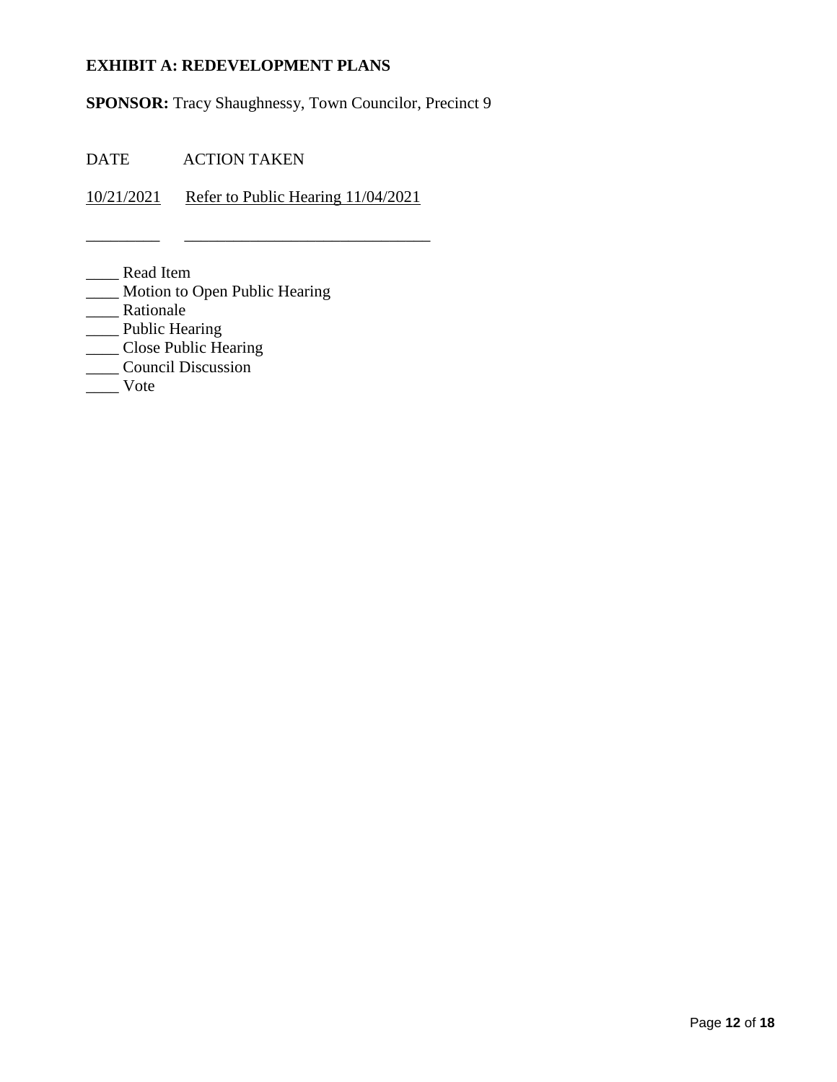# **EXHIBIT A: REDEVELOPMENT PLANS**

**SPONSOR:** Tracy Shaughnessy, Town Councilor, Precinct 9

DATE ACTION TAKEN

10/21/2021 Refer to Public Hearing 11/04/2021

\_\_\_\_\_\_\_\_\_ \_\_\_\_\_\_\_\_\_\_\_\_\_\_\_\_\_\_\_\_\_\_\_\_\_\_\_\_\_\_

\_\_\_\_ Read Item

- \_\_\_\_ Motion to Open Public Hearing
- \_\_\_\_ Rationale
- \_\_\_\_ Public Hearing
- \_\_\_\_ Close Public Hearing
- —<br>Council Discussion
- \_\_\_\_ Vote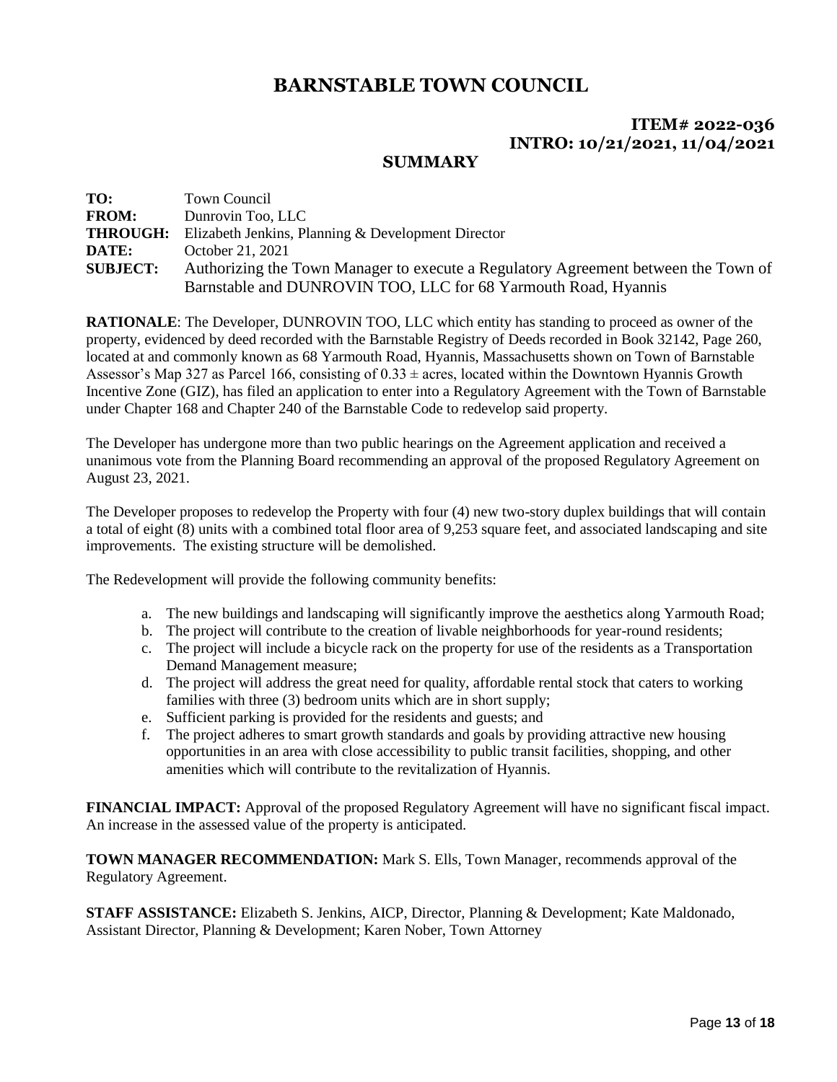# **ITEM# 2022-036 INTRO: 10/21/2021, 11/04/2021**

#### **SUMMARY**

| TO:             | Town Council                                                                       |
|-----------------|------------------------------------------------------------------------------------|
| <b>FROM:</b>    | Dunrovin Too, LLC                                                                  |
| <b>THROUGH:</b> | Elizabeth Jenkins, Planning & Development Director                                 |
| DATE:           | October 21, 2021                                                                   |
| <b>SUBJECT:</b> | Authorizing the Town Manager to execute a Regulatory Agreement between the Town of |
|                 | Barnstable and DUNROVIN TOO, LLC for 68 Yarmouth Road, Hyannis                     |

**RATIONALE**: The Developer, DUNROVIN TOO, LLC which entity has standing to proceed as owner of the property, evidenced by deed recorded with the Barnstable Registry of Deeds recorded in Book 32142, Page 260, located at and commonly known as 68 Yarmouth Road, Hyannis, Massachusetts shown on Town of Barnstable Assessor's Map 327 as Parcel 166, consisting of  $0.33 \pm \text{acres}$ , located within the Downtown Hyannis Growth Incentive Zone (GIZ), has filed an application to enter into a Regulatory Agreement with the Town of Barnstable under Chapter 168 and Chapter 240 of the Barnstable Code to redevelop said property.

The Developer has undergone more than two public hearings on the Agreement application and received a unanimous vote from the Planning Board recommending an approval of the proposed Regulatory Agreement on August 23, 2021.

The Developer proposes to redevelop the Property with four (4) new two-story duplex buildings that will contain a total of eight (8) units with a combined total floor area of 9,253 square feet, and associated landscaping and site improvements. The existing structure will be demolished.

The Redevelopment will provide the following community benefits:

- a. The new buildings and landscaping will significantly improve the aesthetics along Yarmouth Road;
- b. The project will contribute to the creation of livable neighborhoods for year-round residents;
- c. The project will include a bicycle rack on the property for use of the residents as a Transportation Demand Management measure;
- d. The project will address the great need for quality, affordable rental stock that caters to working families with three (3) bedroom units which are in short supply;
- e. Sufficient parking is provided for the residents and guests; and
- f. The project adheres to smart growth standards and goals by providing attractive new housing opportunities in an area with close accessibility to public transit facilities, shopping, and other amenities which will contribute to the revitalization of Hyannis.

**FINANCIAL IMPACT:** Approval of the proposed Regulatory Agreement will have no significant fiscal impact. An increase in the assessed value of the property is anticipated.

**TOWN MANAGER RECOMMENDATION:** Mark S. Ells, Town Manager, recommends approval of the Regulatory Agreement.

**STAFF ASSISTANCE:** Elizabeth S. Jenkins, AICP, Director, Planning & Development; Kate Maldonado, Assistant Director, Planning & Development; Karen Nober, Town Attorney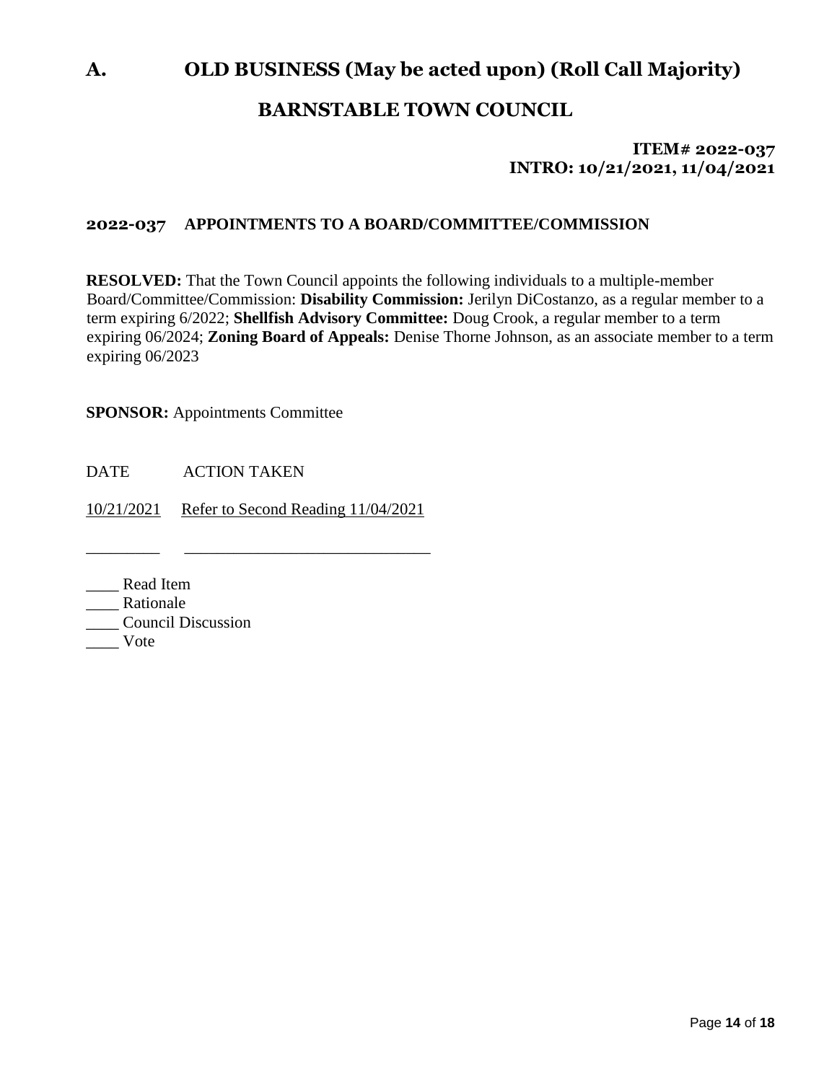# **A. OLD BUSINESS (May be acted upon) (Roll Call Majority)**

# **BARNSTABLE TOWN COUNCIL**

# **ITEM# 2022-037 INTRO: 10/21/2021, 11/04/2021**

## **2022-037 APPOINTMENTS TO A BOARD/COMMITTEE/COMMISSION**

**RESOLVED:** That the Town Council appoints the following individuals to a multiple-member Board/Committee/Commission: **Disability Commission:** Jerilyn DiCostanzo, as a regular member to a term expiring 6/2022; **Shellfish Advisory Committee:** Doug Crook, a regular member to a term expiring 06/2024; **Zoning Board of Appeals:** Denise Thorne Johnson, as an associate member to a term expiring 06/2023

**SPONSOR:** Appointments Committee

DATE ACTION TAKEN

10/21/2021 Refer to Second Reading 11/04/2021

\_\_\_\_\_\_\_\_\_ \_\_\_\_\_\_\_\_\_\_\_\_\_\_\_\_\_\_\_\_\_\_\_\_\_\_\_\_\_\_

- \_\_\_\_ Read Item
- Rationale
- \_\_\_\_ Council Discussion
- \_\_\_\_ Vote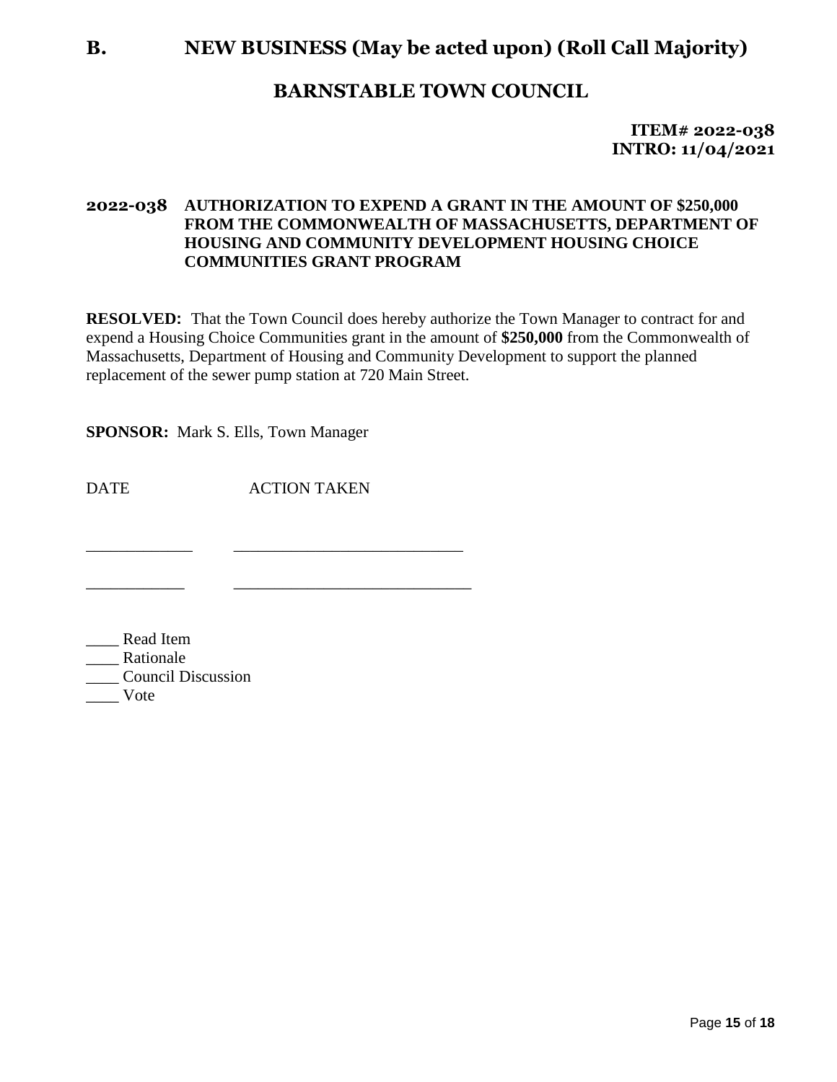# **B. NEW BUSINESS (May be acted upon) (Roll Call Majority)**

# **BARNSTABLE TOWN COUNCIL**

**ITEM# 2022-038 INTRO: 11/04/2021**

## **2022-038 AUTHORIZATION TO EXPEND A GRANT IN THE AMOUNT OF \$250,000 FROM THE COMMONWEALTH OF MASSACHUSETTS, DEPARTMENT OF HOUSING AND COMMUNITY DEVELOPMENT HOUSING CHOICE COMMUNITIES GRANT PROGRAM**

**RESOLVED:** That the Town Council does hereby authorize the Town Manager to contract for and expend a Housing Choice Communities grant in the amount of **\$250,000** from the Commonwealth of Massachusetts, Department of Housing and Community Development to support the planned replacement of the sewer pump station at 720 Main Street.

**SPONSOR:** Mark S. Ells, Town Manager

DATE ACTION TAKEN

\_\_\_\_\_\_\_\_\_\_\_\_\_ \_\_\_\_\_\_\_\_\_\_\_\_\_\_\_\_\_\_\_\_\_\_\_\_\_\_\_\_

\_\_\_\_\_\_\_\_\_\_\_\_ \_\_\_\_\_\_\_\_\_\_\_\_\_\_\_\_\_\_\_\_\_\_\_\_\_\_\_\_\_

\_\_\_\_ Read Item \_\_\_\_ Rationale \_\_\_\_ Council Discussion \_\_\_\_ Vote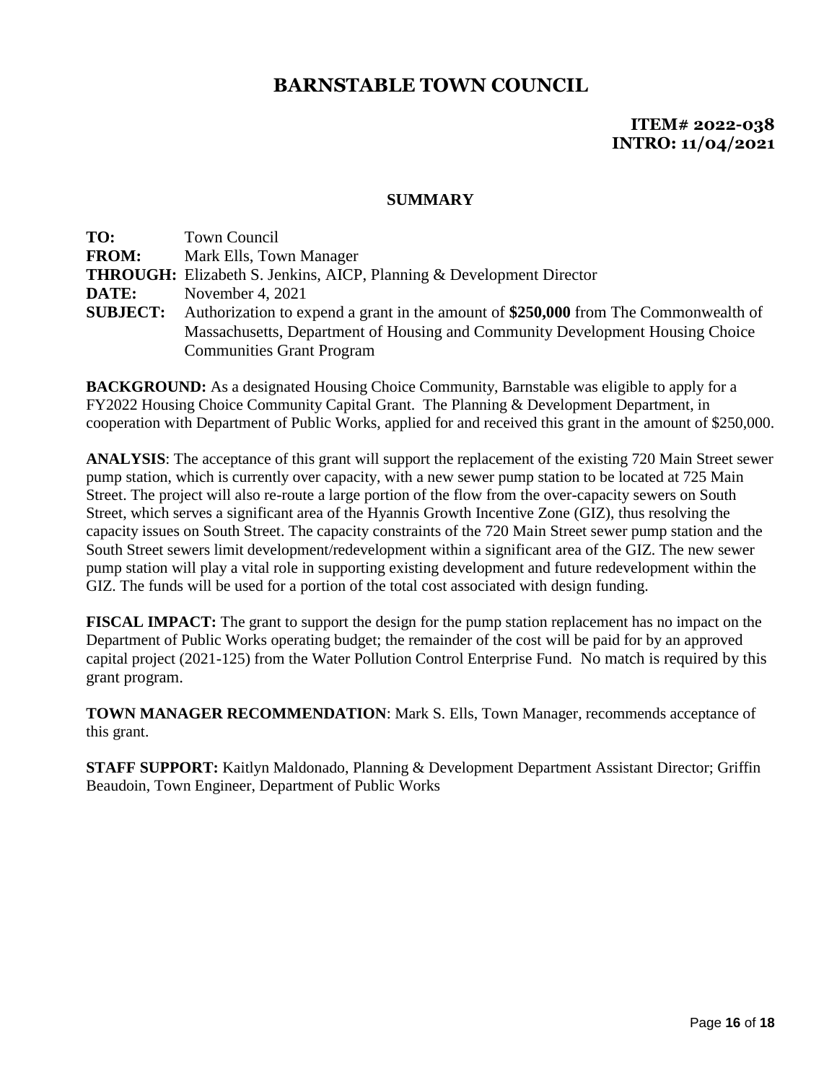## **ITEM# 2022-038 INTRO: 11/04/2021**

#### **SUMMARY**

| TO:             | <b>Town Council</b>                                                                 |
|-----------------|-------------------------------------------------------------------------------------|
| <b>FROM:</b>    | Mark Ells, Town Manager                                                             |
|                 | <b>THROUGH:</b> Elizabeth S. Jenkins, AICP, Planning & Development Director         |
| DATE:           | November 4, $2021$                                                                  |
| <b>SUBJECT:</b> | Authorization to expend a grant in the amount of \$250,000 from The Commonwealth of |
|                 | Massachusetts, Department of Housing and Community Development Housing Choice       |
|                 | <b>Communities Grant Program</b>                                                    |

**BACKGROUND:** As a designated Housing Choice Community, Barnstable was eligible to apply for a FY2022 Housing Choice Community Capital Grant. The Planning & Development Department, in cooperation with Department of Public Works, applied for and received this grant in the amount of \$250,000.

**ANALYSIS**: The acceptance of this grant will support the replacement of the existing 720 Main Street sewer pump station, which is currently over capacity, with a new sewer pump station to be located at 725 Main Street. The project will also re-route a large portion of the flow from the over-capacity sewers on South Street, which serves a significant area of the Hyannis Growth Incentive Zone (GIZ), thus resolving the capacity issues on South Street. The capacity constraints of the 720 Main Street sewer pump station and the South Street sewers limit development/redevelopment within a significant area of the GIZ. The new sewer pump station will play a vital role in supporting existing development and future redevelopment within the GIZ. The funds will be used for a portion of the total cost associated with design funding.

**FISCAL IMPACT:** The grant to support the design for the pump station replacement has no impact on the Department of Public Works operating budget; the remainder of the cost will be paid for by an approved capital project (2021-125) from the Water Pollution Control Enterprise Fund. No match is required by this grant program.

**TOWN MANAGER RECOMMENDATION**: Mark S. Ells, Town Manager, recommends acceptance of this grant.

**STAFF SUPPORT:** Kaitlyn Maldonado, Planning & Development Department Assistant Director; Griffin Beaudoin, Town Engineer, Department of Public Works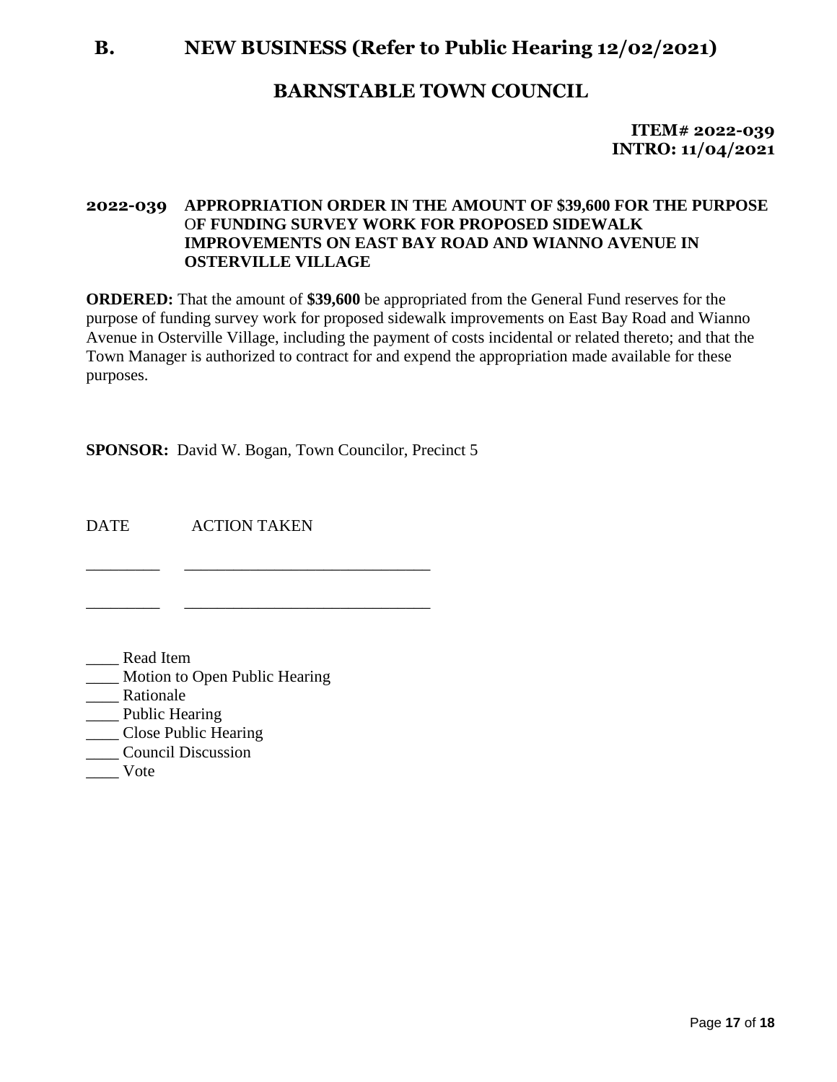# **B. NEW BUSINESS (Refer to Public Hearing 12/02/2021)**

# **BARNSTABLE TOWN COUNCIL**

**ITEM# 2022-039 INTRO: 11/04/2021**

## **2022-039 APPROPRIATION ORDER IN THE AMOUNT OF \$39,600 FOR THE PURPOSE**  O**F FUNDING SURVEY WORK FOR PROPOSED SIDEWALK IMPROVEMENTS ON EAST BAY ROAD AND WIANNO AVENUE IN OSTERVILLE VILLAGE**

**ORDERED:** That the amount of **\$39,600** be appropriated from the General Fund reserves for the purpose of funding survey work for proposed sidewalk improvements on East Bay Road and Wianno Avenue in Osterville Village, including the payment of costs incidental or related thereto; and that the Town Manager is authorized to contract for and expend the appropriation made available for these purposes.

**SPONSOR:** David W. Bogan, Town Councilor, Precinct 5

\_\_\_\_\_\_\_\_\_ \_\_\_\_\_\_\_\_\_\_\_\_\_\_\_\_\_\_\_\_\_\_\_\_\_\_\_\_\_\_

\_\_\_\_\_\_\_\_\_ \_\_\_\_\_\_\_\_\_\_\_\_\_\_\_\_\_\_\_\_\_\_\_\_\_\_\_\_\_\_

DATE ACTION TAKEN

\_\_\_\_ Read Item

- \_\_\_\_ Motion to Open Public Hearing
- \_\_\_\_ Rationale
- \_\_\_\_ Public Hearing
- \_\_\_\_ Close Public Hearing
- \_\_\_\_ Council Discussion
- \_\_\_\_ Vote